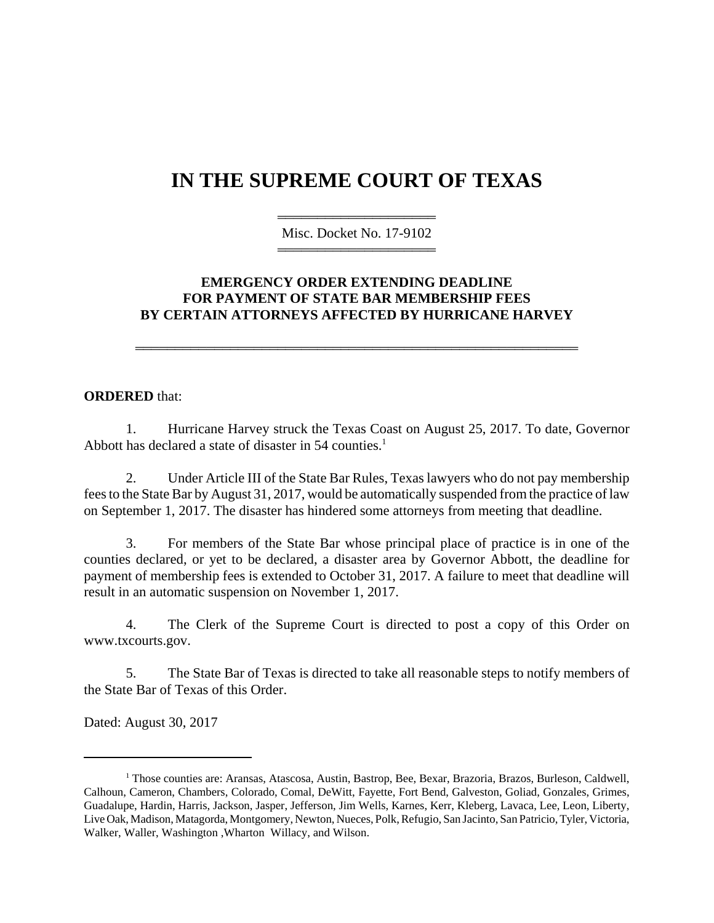## **IN THE SUPREME COURT OF TEXAS**

44444444444444444444 Misc. Docket No. 17-9102 44444444444444444444

## **EMERGENCY ORDER EXTENDING DEADLINE FOR PAYMENT OF STATE BAR MEMBERSHIP FEES BY CERTAIN ATTORNEYS AFFECTED BY HURRICANE HARVEY**

44444444444444444444444444444444444444444444444444444444

## **ORDERED** that:

1. Hurricane Harvey struck the Texas Coast on August 25, 2017. To date, Governor Abbott has declared a state of disaster in 54 counties.<sup>1</sup>

2. Under Article III of the State Bar Rules, Texas lawyers who do not pay membership fees to the State Bar by August 31, 2017, would be automatically suspended from the practice of law on September 1, 2017. The disaster has hindered some attorneys from meeting that deadline.

3. For members of the State Bar whose principal place of practice is in one of the counties declared, or yet to be declared, a disaster area by Governor Abbott, the deadline for payment of membership fees is extended to October 31, 2017. A failure to meet that deadline will result in an automatic suspension on November 1, 2017.

4. The Clerk of the Supreme Court is directed to post a copy of this Order on www.txcourts.gov.

5. The State Bar of Texas is directed to take all reasonable steps to notify members of the State Bar of Texas of this Order.

Dated: August 30, 2017

<sup>&</sup>lt;sup>1</sup> Those counties are: Aransas, Atascosa, Austin, Bastrop, Bee, Bexar, Brazoria, Brazos, Burleson, Caldwell, Calhoun, Cameron, Chambers, Colorado, Comal, DeWitt, Fayette, Fort Bend, Galveston, Goliad, Gonzales, Grimes, Guadalupe, Hardin, Harris, Jackson, Jasper, Jefferson, Jim Wells, Karnes, Kerr, Kleberg, Lavaca, Lee, Leon, Liberty, Live Oak, Madison, Matagorda, Montgomery, Newton, Nueces, Polk, Refugio, San Jacinto, San Patricio, Tyler, Victoria, Walker, Waller, Washington ,Wharton Willacy, and Wilson.